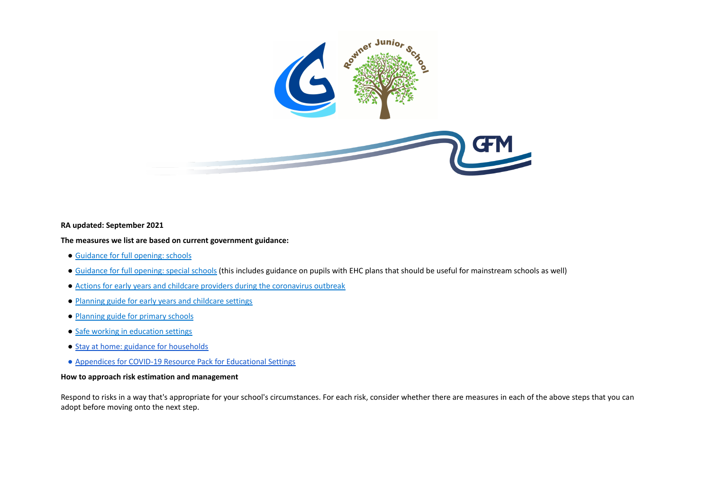

#### **RA updated: September 2021**

## **The measures we list are based on current government guidance:**

- [Guidance](https://www.gov.uk/government/publications/actions-for-schools-during-the-coronavirus-outbreak/guidance-for-full-opening-schools) for full opening: schools
- [Guidance](https://www.gov.uk/government/publications/guidance-for-full-opening-special-schools-and-other-specialist-settings/guidance-for-full-opening-special-schools-and-other-specialist-settings) for full opening: special schools (this includes guidance on pupils with EHC plans that should be useful for mainstream schools as well)
- Actions for early years and childcare providers during the [coronavirus](https://www.gov.uk/government/publications/coronavirus-covid-19-early-years-and-childcare-closures/coronavirus-covid-19-early-years-and-childcare-closures) outbreak
- Planning guide for early years and [childcare](https://www.gov.uk/government/publications/preparing-for-the-wider-opening-of-early-years-and-childcare-settings-from-1-june/planning-guide-for-early-years-and-childcare-settings) settings
- [Planning](https://www.gov.uk/government/publications/preparing-for-the-wider-opening-of-schools-from-1-june/planning-guide-for-primary-schools) guide for primary schools
- Safe working in [education](https://www.gov.uk/government/publications/safe-working-in-education-childcare-and-childrens-social-care/safe-working-in-education-childcare-and-childrens-social-care-settings-including-the-use-of-personal-protective-equipment-ppe) settings
- Stay at home: guidance for [households](https://www.gov.uk/government/publications/covid-19-stay-at-home-guidance/stay-at-home-guidance-for-households-with-possible-coronavirus-covid-19-infection#samehousehold)
- Appendices for COVID-19 Resource Pack for [Educational](https://mail.google.com/mail/u/2/#inbox/FMfcgzGkXmkFxSjHHQZXggpBdSqCNSnF?projector=1&messagePartId=0.1) Settings

## **How to approach risk estimation and management**

Respond to risks in a way that's appropriate for your school's circumstances. For each risk, consider whether there are measures in each of the above steps that you can adopt before moving onto the next step.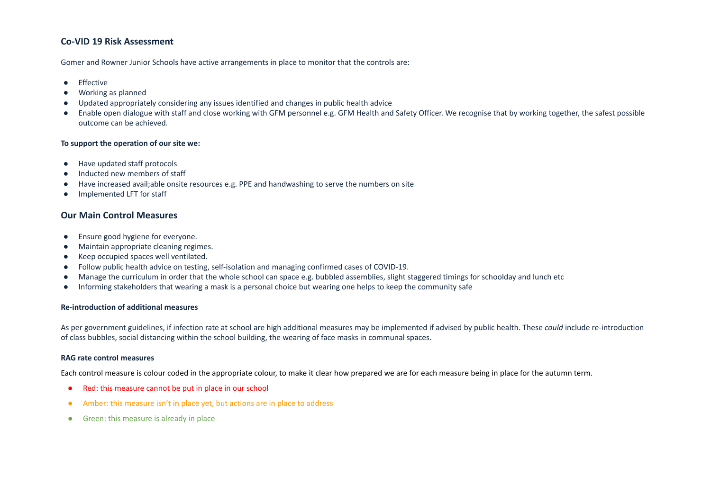# **Co-VID 19 Risk Assessment**

Gomer and Rowner Junior Schools have active arrangements in place to monitor that the controls are:

- Effective
- Working as planned
- Updated appropriately considering any issues identified and changes in public health advice
- Enable open dialogue with staff and close working with GFM personnel e.g. GFM Health and Safety Officer. We recognise that by working together, the safest possible outcome can be achieved.

#### **To support the operation of our site we:**

- Have updated staff protocols
- Inducted new members of staff
- Have increased avail;able onsite resources e.g. PPE and handwashing to serve the numbers on site
- Implemented LFT for staff

## **Our Main Control Measures**

- Ensure good hygiene for everyone.
- Maintain appropriate cleaning regimes.
- Keep occupied spaces well ventilated.
- Follow public health advice on testing, self-isolation and managing confirmed cases of COVID-19.
- Manage the curriculum in order that the whole school can space e.g. bubbled assemblies, slight staggered timings for schoolday and lunch etc
- Informing stakeholders that wearing a mask is a personal choice but wearing one helps to keep the community safe

#### **Re-introduction of additional measures**

As per government guidelines, if infection rate at school are high additional measures may be implemented if advised by public health. These *could* include re-introduction of class bubbles, social distancing within the school building, the wearing of face masks in communal spaces.

#### **RAG rate control measures**

Each control measure is colour coded in the appropriate colour, to make it clear how prepared we are for each measure being in place for the autumn term.

- Red: this measure cannot be put in place in our school
- Amber: this measure isn't in place yet, but actions are in place to address
- Green: this measure is already in place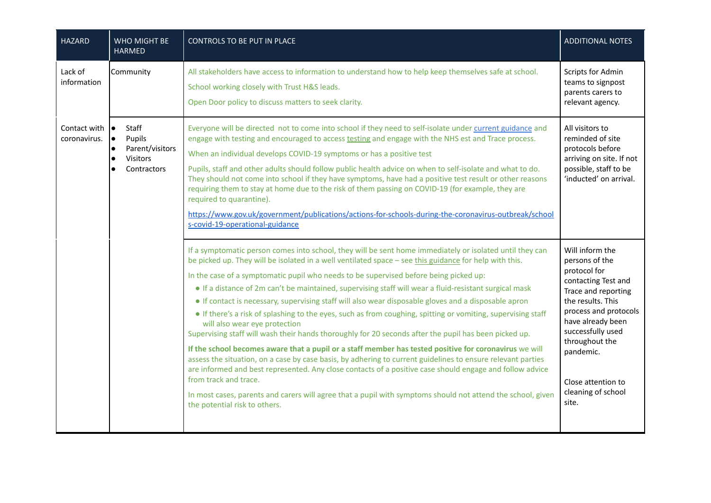| <b>HAZARD</b>                | WHO MIGHT BE<br><b>HARMED</b>                                                                                           | CONTROLS TO BE PUT IN PLACE                                                                                                                                                                                                                                                                                                                                                                                                                                                                                                                                                                                                                                                                                                                                                                                                                                                                                                                                                                                                                                                                                                                                                                                                                                                                           | <b>ADDITIONAL NOTES</b>                                                                                                                                                                                                                                                     |
|------------------------------|-------------------------------------------------------------------------------------------------------------------------|-------------------------------------------------------------------------------------------------------------------------------------------------------------------------------------------------------------------------------------------------------------------------------------------------------------------------------------------------------------------------------------------------------------------------------------------------------------------------------------------------------------------------------------------------------------------------------------------------------------------------------------------------------------------------------------------------------------------------------------------------------------------------------------------------------------------------------------------------------------------------------------------------------------------------------------------------------------------------------------------------------------------------------------------------------------------------------------------------------------------------------------------------------------------------------------------------------------------------------------------------------------------------------------------------------|-----------------------------------------------------------------------------------------------------------------------------------------------------------------------------------------------------------------------------------------------------------------------------|
| Lack of<br>information       | Community                                                                                                               | All stakeholders have access to information to understand how to help keep themselves safe at school.<br>School working closely with Trust H&S leads.<br>Open Door policy to discuss matters to seek clarity.                                                                                                                                                                                                                                                                                                                                                                                                                                                                                                                                                                                                                                                                                                                                                                                                                                                                                                                                                                                                                                                                                         | Scripts for Admin<br>teams to signpost<br>parents carers to<br>relevant agency.                                                                                                                                                                                             |
| Contact with<br>coronavirus. | Staff<br>١e<br>Pupils<br>$\bullet$<br>Parent/visitors<br>$\bullet$<br>Visitors<br>$\bullet$<br>Contractors<br>$\bullet$ | Everyone will be directed not to come into school if they need to self-isolate under current guidance and<br>engage with testing and encouraged to access testing and engage with the NHS est and Trace process.<br>When an individual develops COVID-19 symptoms or has a positive test<br>Pupils, staff and other adults should follow public health advice on when to self-isolate and what to do.<br>They should not come into school if they have symptoms, have had a positive test result or other reasons<br>requiring them to stay at home due to the risk of them passing on COVID-19 (for example, they are<br>required to quarantine).<br>https://www.gov.uk/government/publications/actions-for-schools-during-the-coronavirus-outbreak/school<br>s-covid-19-operational-guidance                                                                                                                                                                                                                                                                                                                                                                                                                                                                                                        | All visitors to<br>reminded of site<br>protocols before<br>arriving on site. If not<br>possible, staff to be<br>'inducted' on arrival.                                                                                                                                      |
|                              |                                                                                                                         | If a symptomatic person comes into school, they will be sent home immediately or isolated until they can<br>be picked up. They will be isolated in a well ventilated space - see this guidance for help with this.<br>In the case of a symptomatic pupil who needs to be supervised before being picked up:<br>• If a distance of 2m can't be maintained, supervising staff will wear a fluid-resistant surgical mask<br>• If contact is necessary, supervising staff will also wear disposable gloves and a disposable apron<br>• If there's a risk of splashing to the eyes, such as from coughing, spitting or vomiting, supervising staff<br>will also wear eye protection<br>Supervising staff will wash their hands thoroughly for 20 seconds after the pupil has been picked up.<br>If the school becomes aware that a pupil or a staff member has tested positive for coronavirus we will<br>assess the situation, on a case by case basis, by adhering to current guidelines to ensure relevant parties<br>are informed and best represented. Any close contacts of a positive case should engage and follow advice<br>from track and trace.<br>In most cases, parents and carers will agree that a pupil with symptoms should not attend the school, given<br>the potential risk to others. | Will inform the<br>persons of the<br>protocol for<br>contacting Test and<br>Trace and reporting<br>the results. This<br>process and protocols<br>have already been<br>successfully used<br>throughout the<br>pandemic.<br>Close attention to<br>cleaning of school<br>site. |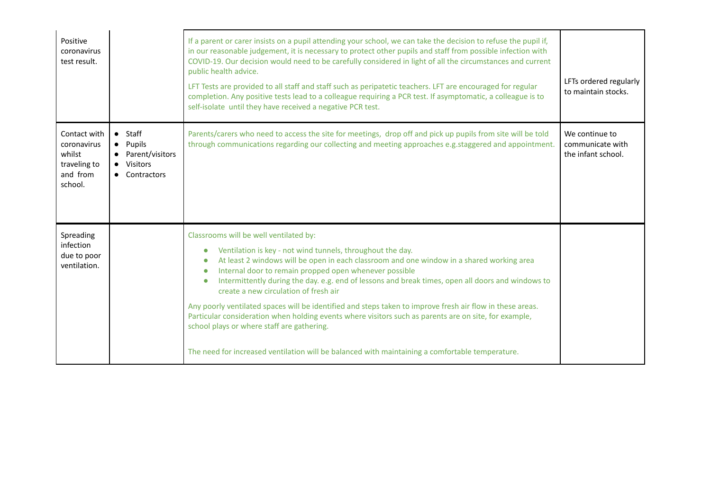| Positive<br>coronavirus<br>test result.                                      |                                                                                 | If a parent or carer insists on a pupil attending your school, we can take the decision to refuse the pupil if,<br>in our reasonable judgement, it is necessary to protect other pupils and staff from possible infection with<br>COVID-19. Our decision would need to be carefully considered in light of all the circumstances and current<br>public health advice.<br>LFT Tests are provided to all staff and staff such as peripatetic teachers. LFT are encouraged for regular<br>completion. Any positive tests lead to a colleague requiring a PCR test. If asymptomatic, a colleague is to<br>self-isolate until they have received a negative PCR test.                                                                                                                                                                     | LFTs ordered regularly<br>to maintain stocks.            |
|------------------------------------------------------------------------------|---------------------------------------------------------------------------------|--------------------------------------------------------------------------------------------------------------------------------------------------------------------------------------------------------------------------------------------------------------------------------------------------------------------------------------------------------------------------------------------------------------------------------------------------------------------------------------------------------------------------------------------------------------------------------------------------------------------------------------------------------------------------------------------------------------------------------------------------------------------------------------------------------------------------------------|----------------------------------------------------------|
| Contact with<br>coronavirus<br>whilst<br>traveling to<br>and from<br>school. | $\bullet$ Staff<br>• Pupils<br>• Parent/visitors<br>• Visitors<br>• Contractors | Parents/carers who need to access the site for meetings, drop off and pick up pupils from site will be told<br>through communications regarding our collecting and meeting approaches e.g.staggered and appointment.                                                                                                                                                                                                                                                                                                                                                                                                                                                                                                                                                                                                                 | We continue to<br>communicate with<br>the infant school. |
| Spreading<br>infection<br>due to poor<br>ventilation.                        |                                                                                 | Classrooms will be well ventilated by:<br>Ventilation is key - not wind tunnels, throughout the day.<br>$\bullet$<br>At least 2 windows will be open in each classroom and one window in a shared working area<br>$\bullet$<br>Internal door to remain propped open whenever possible<br>$\bullet$<br>Intermittently during the day. e.g. end of lessons and break times, open all doors and windows to<br>$\bullet$<br>create a new circulation of fresh air<br>Any poorly ventilated spaces will be identified and steps taken to improve fresh air flow in these areas.<br>Particular consideration when holding events where visitors such as parents are on site, for example,<br>school plays or where staff are gathering.<br>The need for increased ventilation will be balanced with maintaining a comfortable temperature. |                                                          |